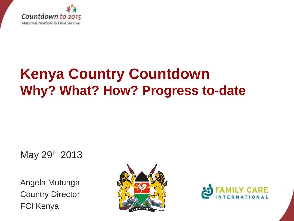

## **Kenya Country Countdown Why? What? How? Progress to-date**

May 29th 2013

Angela Mutunga Country Director FCI Kenya



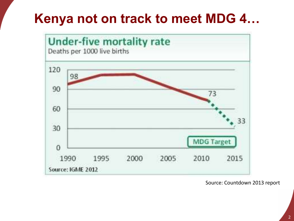#### **Kenya not on track to meet MDG 4…**



Source: Countdown 2013 report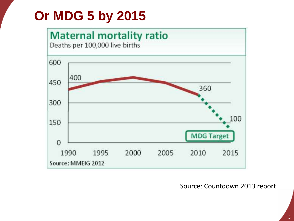### **Or MDG 5 by 2015**



#### Source: Countdown 2013 report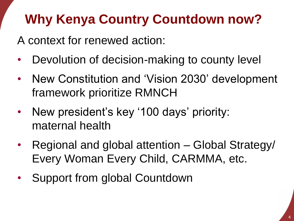### **Why Kenya Country Countdown now?**

A context for renewed action:

- Devolution of decision-making to county level
- New Constitution and 'Vision 2030' development framework prioritize RMNCH
- New president's key '100 days' priority: maternal health
- Regional and global attention Global Strategy/ Every Woman Every Child, CARMMA, etc.
- Support from global Countdown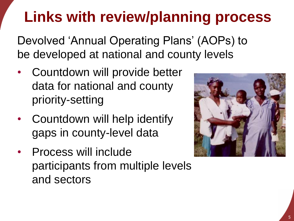# **Links with review/planning process**

Devolved 'Annual Operating Plans' (AOPs) to be developed at national and county levels

- Countdown will provide better data for national and county priority-setting
- Countdown will help identify gaps in county-level data
- Process will include participants from multiple levels and sectors

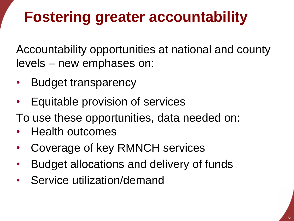# **Fostering greater accountability**

Accountability opportunities at national and county levels – new emphases on:

- Budget transparency
- Equitable provision of services
- To use these opportunities, data needed on:
- Health outcomes
- Coverage of key RMNCH services
- Budget allocations and delivery of funds
- Service utilization/demand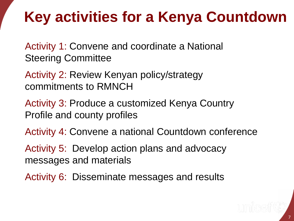## **Key activities for a Kenya Countdown**

Activity 1: Convene and coordinate a National Steering Committee

Activity 2: Review Kenyan policy/strategy commitments to RMNCH

Activity 3: Produce a customized Kenya Country Profile and county profiles

Activity 4: Convene a national Countdown conference

Activity 5: Develop action plans and advocacy messages and materials

Activity 6: Disseminate messages and results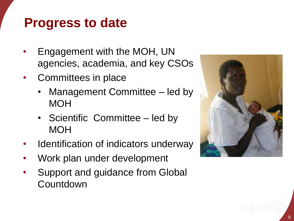#### **Progress to date**

- Engagement with the MOH, UN agencies, academia, and key CSOs
- Committees in place
	- Management Committee led by **MOH**
	- Scientific Committee led by MOH
- Identification of indicators underway
- Work plan under development
- Support and guidance from Global **Countdown**

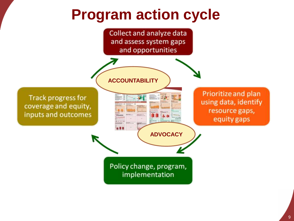